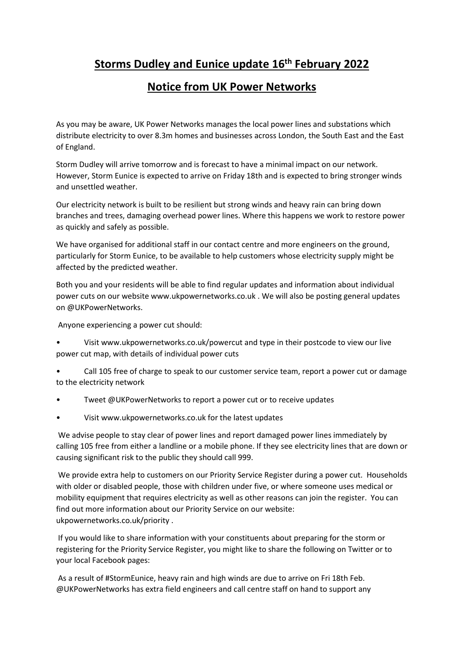## **Storms Dudley and Eunice update 16th February 2022**

## **Notice from UK Power Networks**

As you may be aware, UK Power Networks manages the local power lines and substations which distribute electricity to over 8.3m homes and businesses across London, the South East and the East of England.

Storm Dudley will arrive tomorrow and is forecast to have a minimal impact on our network. However, Storm Eunice is expected to arrive on Friday 18th and is expected to bring stronger winds and unsettled weather.

Our electricity network is built to be resilient but strong winds and heavy rain can bring down branches and trees, damaging overhead power lines. Where this happens we work to restore power as quickly and safely as possible.

We have organised for additional staff in our contact centre and more engineers on the ground, particularly for Storm Eunice, to be available to help customers whose electricity supply might be affected by the predicted weather.

Both you and your residents will be able to find regular updates and information about individual power cuts on our website www.ukpowernetworks.co.uk . We will also be posting general updates on @UKPowerNetworks.

Anyone experiencing a power cut should:

- Visit www.ukpowernetworks.co.uk/powercut and type in their postcode to view our live power cut map, with details of individual power cuts
- Call 105 free of charge to speak to our customer service team, report a power cut or damage to the electricity network
- Tweet @UKPowerNetworks to report a power cut or to receive updates
- Visit www.ukpowernetworks.co.uk for the latest updates

We advise people to stay clear of power lines and report damaged power lines immediately by calling 105 free from either a landline or a mobile phone. If they see electricity lines that are down or causing significant risk to the public they should call 999.

We provide extra help to customers on our Priority Service Register during a power cut. Households with older or disabled people, those with children under five, or where someone uses medical or mobility equipment that requires electricity as well as other reasons can join the register. You can find out more information about our Priority Service on our website: ukpowernetworks.co.uk/priority .

If you would like to share information with your constituents about preparing for the storm or registering for the Priority Service Register, you might like to share the following on Twitter or to your local Facebook pages:

As a result of #StormEunice, heavy rain and high winds are due to arrive on Fri 18th Feb. @UKPowerNetworks has extra field engineers and call centre staff on hand to support any